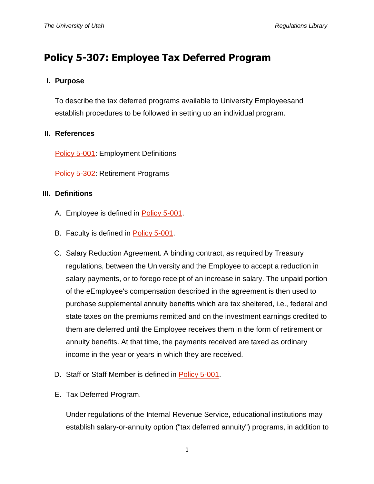# **Policy 5-307: Employee Tax Deferred Program**

## **I. Purpose**

To describe the tax deferred programs available to University Employeesand establish procedures to be followed in setting up an individual program.

## **II. References**

[Policy 5-001:](http://regulations.utah.edu/human-resources/5-001.php) Employment Definitions

[Policy 5-302:](http://regulations.utah.edu/human-resources/5-302.php) Retirement Programs

## **III. Definitions**

- A. Employee is defined in [Policy 5-001.](http://regulations.utah.edu/human-resources/5-001.php)
- B. Faculty is defined in [Policy 5-001.](http://regulations.utah.edu/human-resources/5-001.php)
- C. Salary Reduction Agreement. A binding contract, as required by Treasury regulations, between the University and the Employee to accept a reduction in salary payments, or to forego receipt of an increase in salary. The unpaid portion of the eEmployee's compensation described in the agreement is then used to purchase supplemental annuity benefits which are tax sheltered, i.e., federal and state taxes on the premiums remitted and on the investment earnings credited to them are deferred until the Employee receives them in the form of retirement or annuity benefits. At that time, the payments received are taxed as ordinary income in the year or years in which they are received.
- D. Staff or Staff Member is defined in [Policy 5-001.](http://regulations.utah.edu/human-resources/5-001.php)
- E. Tax Deferred Program.

Under regulations of the Internal Revenue Service, educational institutions may establish salary-or-annuity option ("tax deferred annuity") programs, in addition to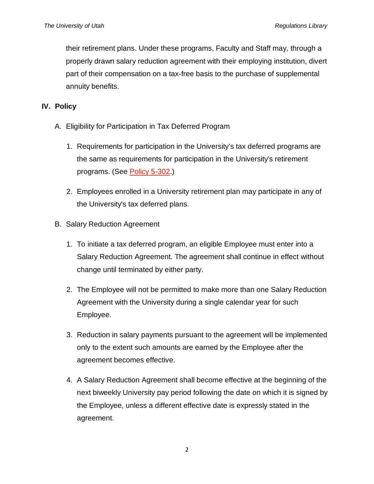their retirement plans. Under these programs, Faculty and Staff may, through a properly drawn salary reduction agreement with their employing institution, divert part of their compensation on a tax-free basis to the purchase of supplemental annuity benefits.

# **IV. Policy**

- A. Eligibility for Participation in Tax Deferred Program
	- 1. Requirements for participation in the University's tax deferred programs are the same as requirements for participation in the University's retirement programs. (See [Policy 5-302.](http://regulations.utah.edu/human-resources/5-302.php))
	- 2. Employees enrolled in a University retirement plan may participate in any of the University's tax deferred plans.
- B. Salary Reduction Agreement
	- 1. To initiate a tax deferred program, an eligible Employee must enter into a Salary Reduction Agreement. The agreement shall continue in effect without change until terminated by either party.
	- 2. The Employee will not be permitted to make more than one Salary Reduction Agreement with the University during a single calendar year for such Employee.
	- 3. Reduction in salary payments pursuant to the agreement will be implemented only to the extent such amounts are earned by the Employee after the agreement becomes effective.
	- 4. A Salary Reduction Agreement shall become effective at the beginning of the next biweekly University pay period following the date on which it is signed by the Employee, unless a different effective date is expressly stated in the agreement.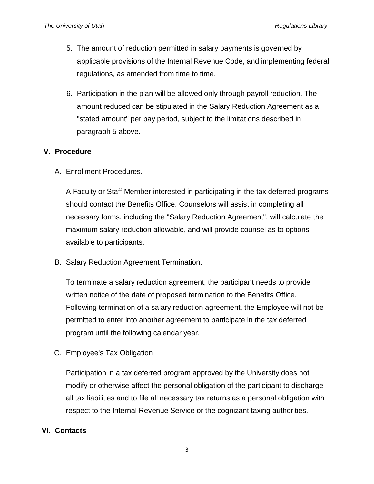- 5. The amount of reduction permitted in salary payments is governed by applicable provisions of the Internal Revenue Code, and implementing federal regulations, as amended from time to time.
- 6. Participation in the plan will be allowed only through payroll reduction. The amount reduced can be stipulated in the Salary Reduction Agreement as a "stated amount" per pay period, subject to the limitations described in paragraph 5 above.

# **V. Procedure**

A. Enrollment Procedures.

A Faculty or Staff Member interested in participating in the tax deferred programs should contact the Benefits Office. Counselors will assist in completing all necessary forms, including the "Salary Reduction Agreement", will calculate the maximum salary reduction allowable, and will provide counsel as to options available to participants.

B. Salary Reduction Agreement Termination.

To terminate a salary reduction agreement, the participant needs to provide written notice of the date of proposed termination to the Benefits Office. Following termination of a salary reduction agreement, the Employee will not be permitted to enter into another agreement to participate in the tax deferred program until the following calendar year.

C. Employee's Tax Obligation

Participation in a tax deferred program approved by the University does not modify or otherwise affect the personal obligation of the participant to discharge all tax liabilities and to file all necessary tax returns as a personal obligation with respect to the Internal Revenue Service or the cognizant taxing authorities.

#### **VI. Contacts**